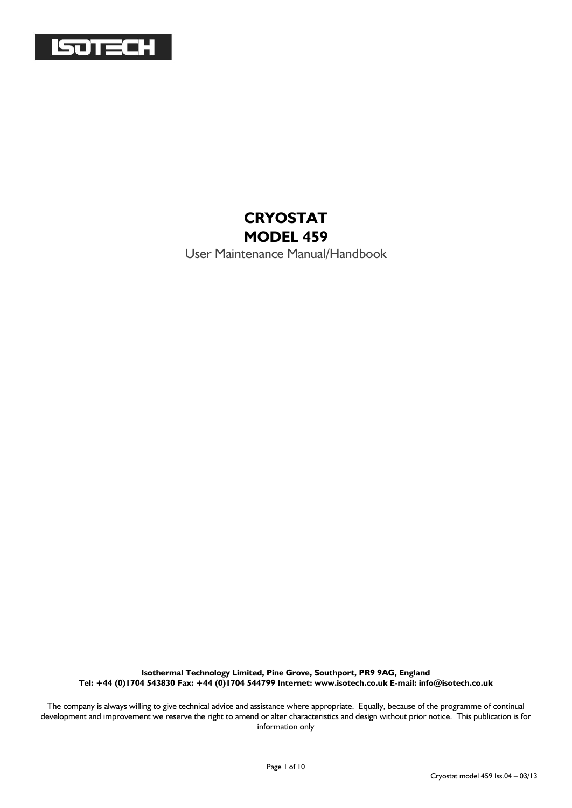

#### **CRYOSTAT MODEL 459**

User Maintenance Manual/Handbook

**Isothermal Technology Limited, Pine Grove, Southport, PR9 9AG, England Tel: +44 (0)1704 543830 Fax: +44 (0)1704 544799 Internet: www.isotech.co.uk E-mail: info@isotech.co.uk**

The company is always willing to give technical advice and assistance where appropriate. Equally, because of the programme of continual development and improvement we reserve the right to amend or alter characteristics and design without prior notice. This publication is for information only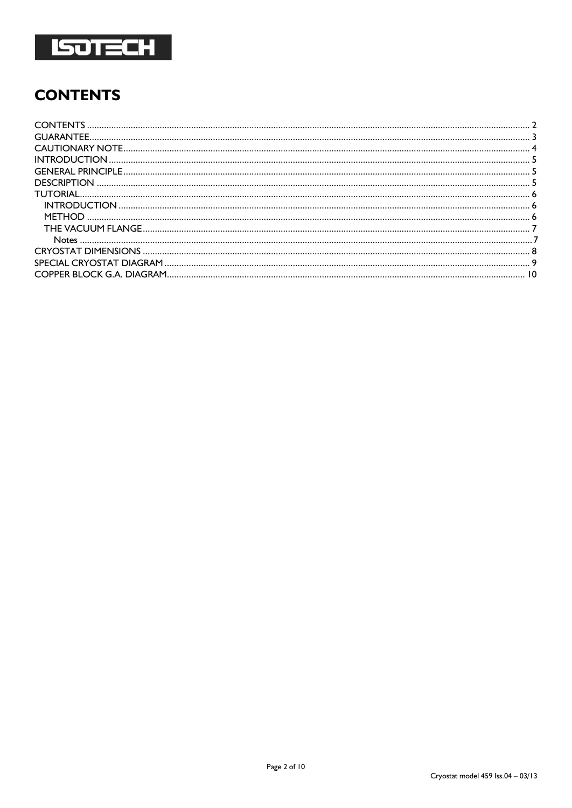

# <span id="page-1-0"></span>**CONTENTS**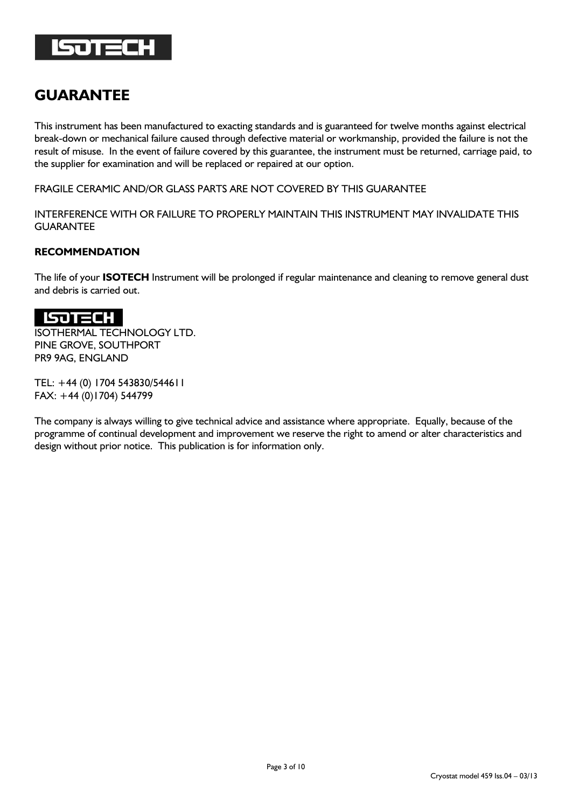

## <span id="page-2-0"></span>**GUARANTEE**

This instrument has been manufactured to exacting standards and is guaranteed for twelve months against electrical break-down or mechanical failure caused through defective material or workmanship, provided the failure is not the result of misuse. In the event of failure covered by this guarantee, the instrument must be returned, carriage paid, to the supplier for examination and will be replaced or repaired at our option.

FRAGILE CERAMIC AND/OR GLASS PARTS ARE NOT COVERED BY THIS GUARANTEE

INTERFERENCE WITH OR FAILURE TO PROPERLY MAINTAIN THIS INSTRUMENT MAY INVALIDATE THIS GUARANTEE

#### **RECOMMENDATION**

The life of your **ISOTECH** Instrument will be prolonged if regular maintenance and cleaning to remove general dust and debris is carried out.

#### **SOTECH**

ISOTHERMAL TECHNOLOGY LTD. PINE GROVE, SOUTHPORT PR9 9AG, ENGLAND

TEL: +44 (0) 1704 543830/544611 FAX: +44 (0)1704) 544799

The company is always willing to give technical advice and assistance where appropriate. Equally, because of the programme of continual development and improvement we reserve the right to amend or alter characteristics and design without prior notice. This publication is for information only.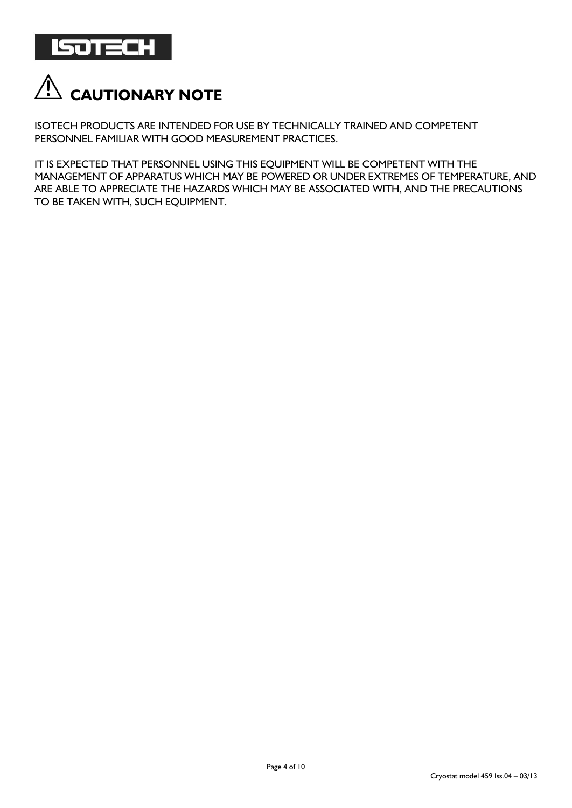

<span id="page-3-0"></span>

ISOTECH PRODUCTS ARE INTENDED FOR USE BY TECHNICALLY TRAINED AND COMPETENT PERSONNEL FAMILIAR WITH GOOD MEASUREMENT PRACTICES.

IT IS EXPECTED THAT PERSONNEL USING THIS EQUIPMENT WILL BE COMPETENT WITH THE MANAGEMENT OF APPARATUS WHICH MAY BE POWERED OR UNDER EXTREMES OF TEMPERATURE, AND ARE ABLE TO APPRECIATE THE HAZARDS WHICH MAY BE ASSOCIATED WITH, AND THE PRECAUTIONS TO BE TAKEN WITH, SUCH EQUIPMENT.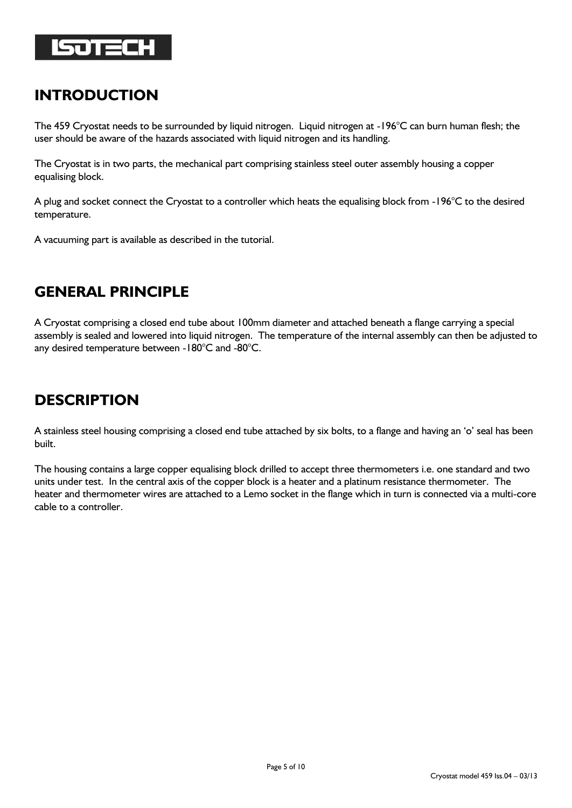

## <span id="page-4-0"></span>**INTRODUCTION**

The 459 Cryostat needs to be surrounded by liquid nitrogen. Liquid nitrogen at -196°C can burn human flesh; the user should be aware of the hazards associated with liquid nitrogen and its handling.

The Cryostat is in two parts, the mechanical part comprising stainless steel outer assembly housing a copper equalising block.

A plug and socket connect the Cryostat to a controller which heats the equalising block from -196°C to the desired temperature.

A vacuuming part is available as described in the tutorial.

## <span id="page-4-1"></span>**GENERAL PRINCIPLE**

A Cryostat comprising a closed end tube about 100mm diameter and attached beneath a flange carrying a special assembly is sealed and lowered into liquid nitrogen. The temperature of the internal assembly can then be adjusted to any desired temperature between -180°C and -80°C.

## <span id="page-4-2"></span>**DESCRIPTION**

A stainless steel housing comprising a closed end tube attached by six bolts, to a flange and having an 'o' seal has been built.

The housing contains a large copper equalising block drilled to accept three thermometers i.e. one standard and two units under test. In the central axis of the copper block is a heater and a platinum resistance thermometer. The heater and thermometer wires are attached to a Lemo socket in the flange which in turn is connected via a multi-core cable to a controller.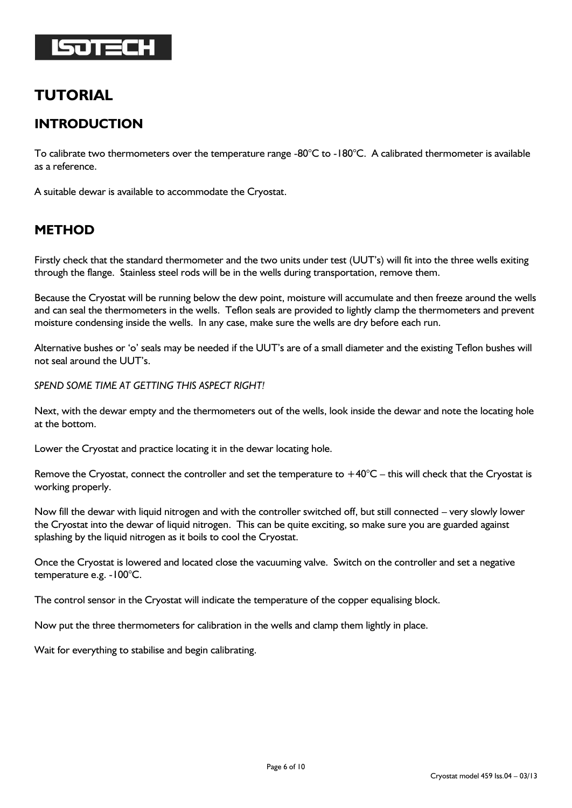

#### <span id="page-5-0"></span>**TUTORIAL**

#### <span id="page-5-1"></span>**INTRODUCTION**

To calibrate two thermometers over the temperature range -80 $^{\circ}$ C to -180 $^{\circ}$ C. A calibrated thermometer is available as a reference.

A suitable dewar is available to accommodate the Cryostat.

#### <span id="page-5-2"></span>**METHOD**

Firstly check that the standard thermometer and the two units under test (UUT's) will fit into the three wells exiting through the flange. Stainless steel rods will be in the wells during transportation, remove them.

Because the Cryostat will be running below the dew point, moisture will accumulate and then freeze around the wells and can seal the thermometers in the wells. Teflon seals are provided to lightly clamp the thermometers and prevent moisture condensing inside the wells. In any case, make sure the wells are dry before each run.

Alternative bushes or 'o' seals may be needed if the UUT's are of a small diameter and the existing Teflon bushes will not seal around the UUT's.

*SPEND SOME TIME AT GETTING THIS ASPECT RIGHT!*

Next, with the dewar empty and the thermometers out of the wells, look inside the dewar and note the locating hole at the bottom.

Lower the Cryostat and practice locating it in the dewar locating hole.

Remove the Cryostat, connect the controller and set the temperature to  $+40^{\circ}$ C – this will check that the Cryostat is working properly.

Now fill the dewar with liquid nitrogen and with the controller switched off, but still connected – very slowly lower the Cryostat into the dewar of liquid nitrogen. This can be quite exciting, so make sure you are guarded against splashing by the liquid nitrogen as it boils to cool the Cryostat.

Once the Cryostat is lowered and located close the vacuuming valve. Switch on the controller and set a negative temperature e.g. -100°C.

The control sensor in the Cryostat will indicate the temperature of the copper equalising block.

Now put the three thermometers for calibration in the wells and clamp them lightly in place.

Wait for everything to stabilise and begin calibrating.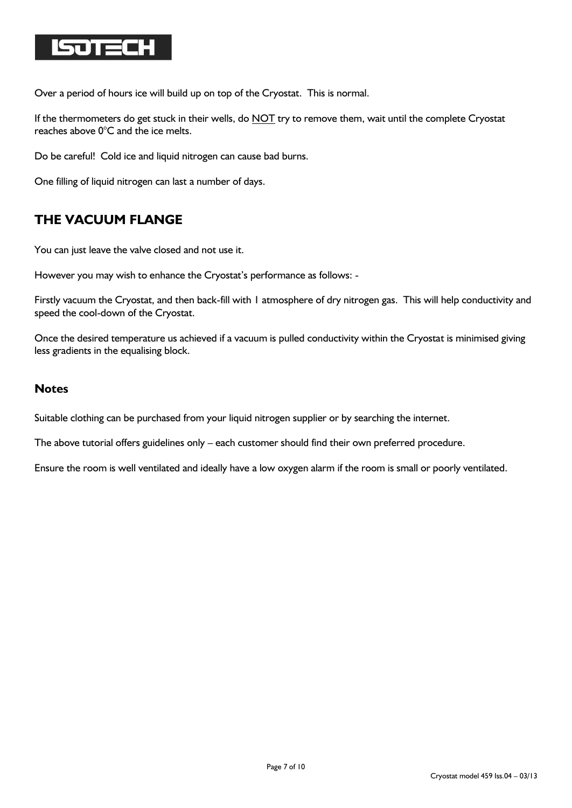

Over a period of hours ice will build up on top of the Cryostat. This is normal.

If the thermometers do get stuck in their wells, do NOT try to remove them, wait until the complete Cryostat reaches above 0°C and the ice melts.

Do be careful! Cold ice and liquid nitrogen can cause bad burns.

One filling of liquid nitrogen can last a number of days.

#### <span id="page-6-0"></span>**THE VACUUM FLANGE**

You can just leave the valve closed and not use it.

However you may wish to enhance the Cryostat's performance as follows: -

Firstly vacuum the Cryostat, and then back-fill with 1 atmosphere of dry nitrogen gas. This will help conductivity and speed the cool-down of the Cryostat.

Once the desired temperature us achieved if a vacuum is pulled conductivity within the Cryostat is minimised giving less gradients in the equalising block.

#### <span id="page-6-1"></span>**Notes**

Suitable clothing can be purchased from your liquid nitrogen supplier or by searching the internet.

The above tutorial offers guidelines only – each customer should find their own preferred procedure.

Ensure the room is well ventilated and ideally have a low oxygen alarm if the room is small or poorly ventilated.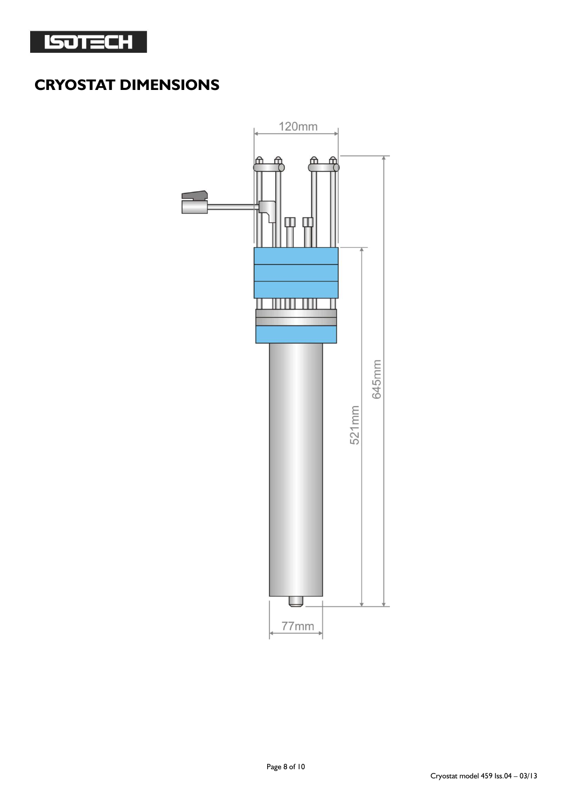

# <span id="page-7-0"></span>**CRYOSTAT DIMENSIONS**

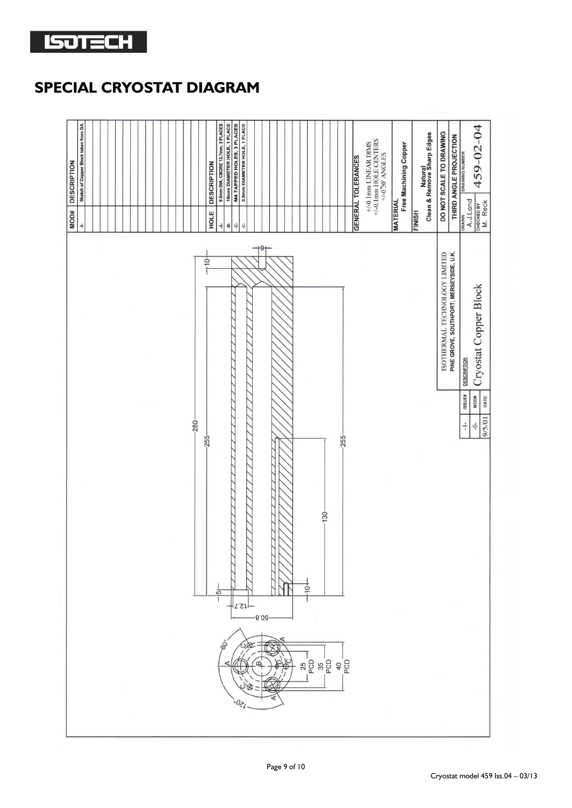

## <span id="page-8-0"></span>**SPECIAL CRYOSTAT DIAGRAM**